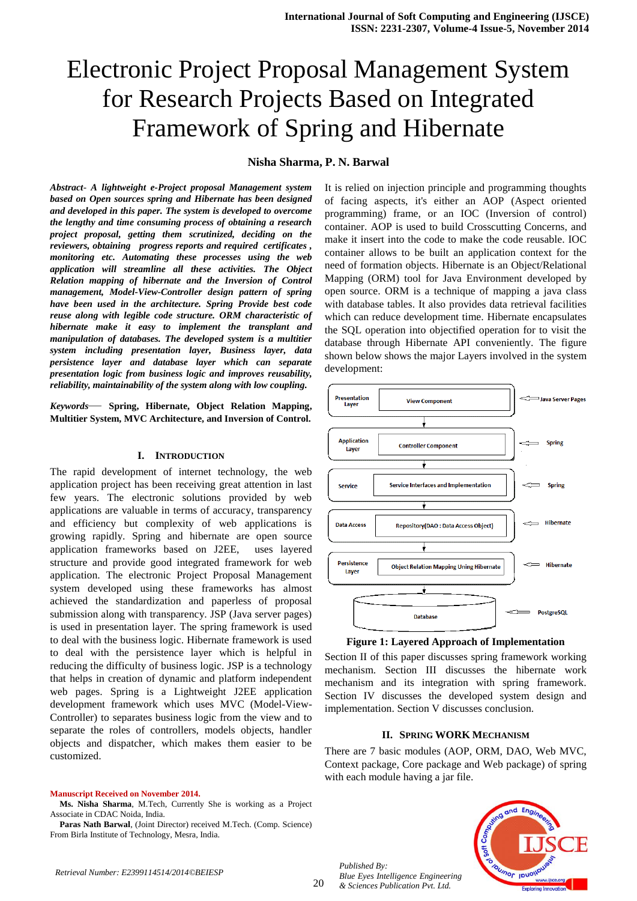# Electronic Project Proposal Management System for Research Projects Based on Integrated Framework of Spring and Hibernate

# **Nisha Sharma, P. N. Barwal**

*Abstract*- *A lightweight e-Project proposal Management system based on Open sources spring and Hibernate has been designed and developed in this paper. The system is developed to overcome the lengthy and time consuming process of obtaining a research project proposal, getting them scrutinized, deciding on the reviewers, obtaining progress reports and required certificates , monitoring etc. Automating these processes using the web application will streamline all these activities. The Object Relation mapping of hibernate and the Inversion of Control management, Model-View-Controller design pattern of spring have been used in the architecture. Spring Provide best code reuse along with legible code structure. ORM characteristic of hibernate make it easy to implement the transplant and manipulation of databases. The developed system is a multitier system including presentation layer, Business layer, data persistence layer and database layer which can separate presentation logic from business logic and improves reusability, reliability, maintainability of the system along with low coupling.*

*Keywords*— **Spring, Hibernate, Object Relation Mapping, Multitier System, MVC Architecture, and Inversion of Control.**

#### **I. INTRODUCTION**

The rapid development of internet technology, the web application project has been receiving great attention in last few years. The electronic solutions provided by web applications are valuable in terms of accuracy, transparency and efficiency but complexity of web applications is growing rapidly. Spring and hibernate are open source application frameworks based on J2EE, uses layered structure and provide good integrated framework for web application. The electronic Project Proposal Management system developed using these frameworks has almost achieved the standardization and paperless of proposal submission along with transparency. JSP (Java server pages) is used in presentation layer. The spring framework is used to deal with the business logic. Hibernate framework is used to deal with the persistence layer which is helpful in reducing the difficulty of business logic. JSP is a technology that helps in creation of dynamic and platform independent web pages. Spring is a Lightweight J2EE application development framework which uses MVC (Model-View-Controller) to separates business logic from the view and to separate the roles of controllers, models objects, handler objects and dispatcher, which makes them easier to be customized.

**Manuscript Received on November 2014.**

**Ms. Nisha Sharma**, M.Tech, Currently She is working as a Project Associate in CDAC Noida, India.

**Paras Nath Barwal**, (Joint Director) received M.Tech. (Comp. Science) From Birla Institute of Technology, Mesra, India.

It is relied on injection principle and programming thoughts of facing aspects, it's either an AOP (Aspect oriented programming) frame, or an IOC (Inversion of control) container. AOP is used to build Crosscutting Concerns, and make it insert into the code to make the code reusable. IOC container allows to be built an application context for the need of formation objects. Hibernate is an Object/Relational Mapping (ORM) tool for Java Environment developed by open source. ORM is a technique of mapping a java class with database tables. It also provides data retrieval facilities which can reduce development time. Hibernate encapsulates the SQL operation into objectified operation for to visit the database through Hibernate API conveniently. The figure shown below shows the major Layers involved in the system development:





Section II of this paper discusses spring framework working mechanism. Section III discusses the hibernate work mechanism and its integration with spring framework. Section IV discusses the developed system design and implementation. Section V discusses conclusion.

#### **II. SPRING WORK MECHANISM**

There are 7 basic modules (AOP, ORM, DAO, Web MVC, Context package, Core package and Web package) of spring with each module having a jar file.



*Published By: Blue Eyes Intelligence Engineering & Sciences Publication Pvt. Ltd.*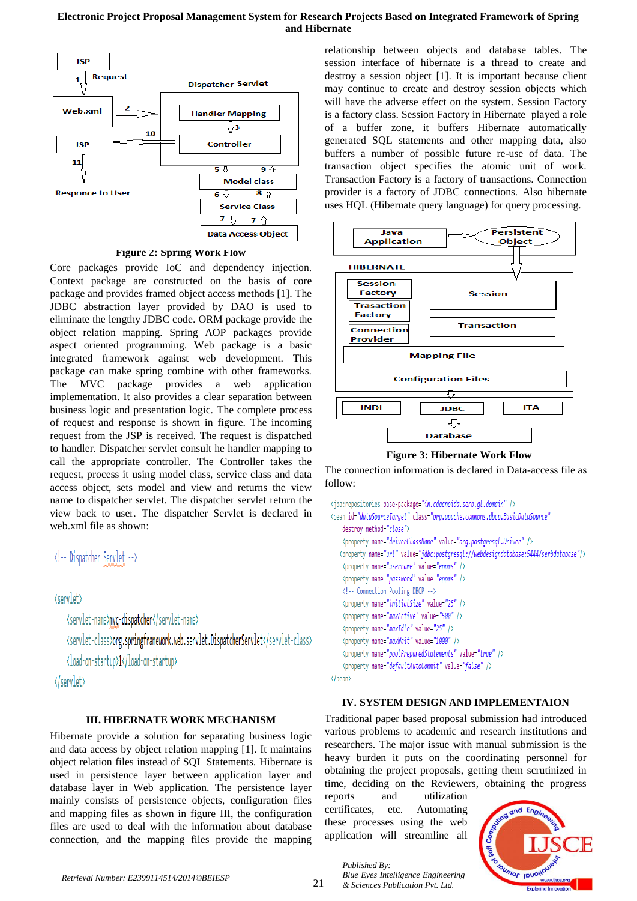# **Electronic Project Proposal Management System for Research Projects Based on Integrated Framework of Spring and Hibernate**



**Figure 2: Spring Work Flow**

Core packages provide IoC and dependency injection. Context package are constructed on the basis of core package and provides framed object access methods [1]. The JDBC abstraction layer provided by DAO is used to eliminate the lengthy JDBC code. ORM package provide the object relation mapping. Spring AOP packages provide aspect oriented programming. Web package is a basic integrated framework against web development. This package can make spring combine with other frameworks. The MVC package provides a web application implementation. It also provides a clear separation between business logic and presentation logic. The complete process of request and response is shown in figure. The incoming request from the JSP is received. The request is dispatched to handler. Dispatcher servlet consult he handler mapping to call the appropriate controller. The Controller takes the request, process it using model class, service class and data access object, sets model and view and returns the view name to dispatcher servlet. The dispatcher servlet return the view back to user. The dispatcher Servlet is declared in web.xml file as shown:

```
<!-- Dispatcher Servlet -->
```
<servlet>

<servlet-name>mvc-dispatcher</servlet-name> <servlet-class>org.springframework.web.servlet.DispatcherServlet</servlet-class> <load-on-startup>1</load-on-startup>

</servlet>

# **III. HIBERNATE WORK MECHANISM**

Hibernate provide a solution for separating business logic and data access by object relation mapping [1]. It maintains object relation files instead of SQL Statements. Hibernate is used in persistence layer between application layer and database layer in Web application. The persistence layer mainly consists of persistence objects, configuration files and mapping files as shown in figure III, the configuration files are used to deal with the information about database connection, and the mapping files provide the mapping relationship between objects and database tables. The session interface of hibernate is a thread to create and destroy a session object [1]. It is important because client may continue to create and destroy session objects which will have the adverse effect on the system. Session Factory is a factory class. Session Factory in Hibernate played a role of a buffer zone, it buffers Hibernate automatically generated SQL statements and other mapping data, also buffers a number of possible future re-use of data. The transaction object specifies the atomic unit of work. Transaction Factory is a factory of transactions. Connection provider is a factory of JDBC connections. Also hibernate uses HQL (Hibernate query language) for query processing.



The connection information is declared in Data-access file as follow:

```
<ipa:repositories base-package="in.cdacnoida.serb.al.domain" />
<bean id="dataSourceTarget" class="org.apache.commons.dbcp.BasicDataSource"
   destrov-method="close">
   <property name="driverClassName" value="org.postgresql.Driver" />
  <property name="url" value="jdbc:postgresql://webdesigndatabase:5444/serbdatabase"/>
   <property name="username" value="eppms" />
   <property name="password" value="eppms" />
   <!-- Connection Pooling DBCP -->
   <property name="initialSize" value="25" />
   <property name="maxIdle" value="25" />
   <property name="maxWait" value="1000" />
   <property name="poolPreparedStatements" value="true" />
   <property name="defaultAutoCommit" value="false" />
</bean>
```
# **IV. SYSTEM DESIGN AND IMPLEMENTAION**

Traditional paper based proposal submission had introduced various problems to academic and research institutions and researchers. The major issue with manual submission is the heavy burden it puts on the coordinating personnel for obtaining the project proposals, getting them scrutinized in time, deciding on the Reviewers, obtaining the progress

reports and utilization certificates, etc. Automating these processes using the web application will streamline all

> *Blue Eyes Intelligence Engineering & Sciences Publication Pvt. Ltd.*

*Published By:*

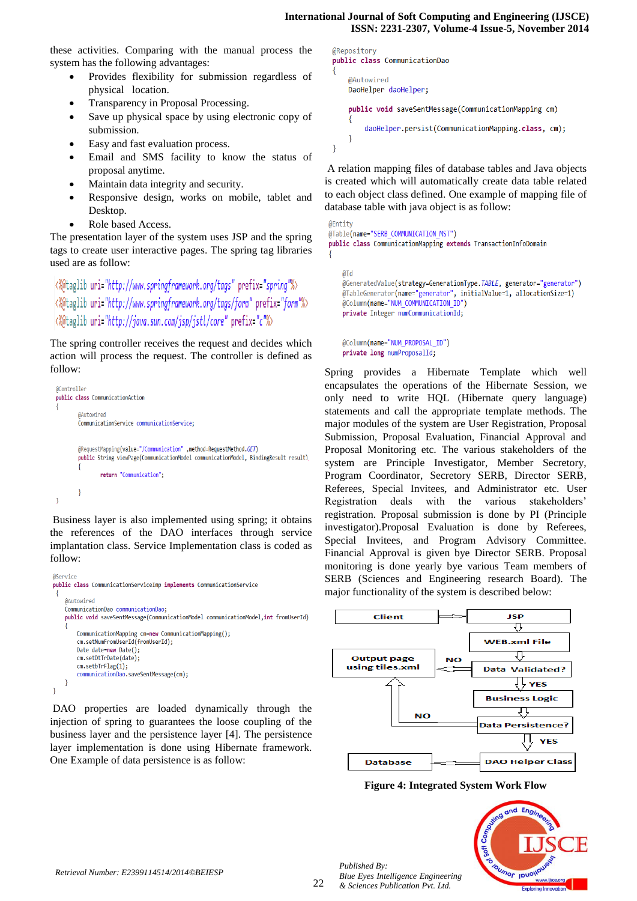#### **International Journal of Soft Computing and Engineering (IJSCE) ISSN: 2231-2307, Volume-4 Issue-5, November 2014**

these activities. Comparing with the manual process the system has the following advantages:

- Provides flexibility for submission regardless of physical location.
- Transparency in Proposal Processing.
- Save up physical space by using electronic copy of submission.
- Easy and fast evaluation process.
- Email and SMS facility to know the status of proposal anytime.
- Maintain data integrity and security.
- Responsive design, works on mobile, tablet and Desktop.
- Role based Access.

The presentation layer of the system uses JSP and the spring tags to create user interactive pages. The spring tag libraries used are as follow:

# <%@taglib uri="http://www.springframework.org/tags" prefix="spring"%> <%@taglib uri="http://www.springframework.org/tags/form" prefix="form"%> <%@taglib uri="http://java.sun.com/jsp/jstl/core" prefix="c"%>

The spring controller receives the request and decides which action will process the request. The controller is defined as follow:

```
@Controller
public class CommunicationAction
         @Autowired
        CommunicationService communicationService;
        (iRequestMapping(value="/Communication",method=RequestMethod.GET)
        public String viewPage(CommunicationModel communicationModel, BindingResult result)
                 return "Communication";
\overline{\mathbf{1}}
```
Business layer is also implemented using spring; it obtains the references of the DAO interfaces through service implantation class. Service Implementation class is coded as follow:

```
@Service
public class CommunicationServiceImp implements CommunicationService
    @Autowired
   CommunicationDao communicationDao;
   public void saveSentMessage(CommunicationModel communicationModel,int fromUserId)
        CommunicationMapping cm=new CommunicationMapping();
        cm.setNumFromUserId(fromUserId);
       Date date=new Date();
        cm.setDtTrDate(date);
        cm.setbTrFlag(1);
        communicationDao.saveSentMessage(cm);
   - 1
J
```
DAO properties are loaded dynamically through the injection of spring to guarantees the loose coupling of the business layer and the persistence layer [4]. The persistence layer implementation is done using Hibernate framework. One Example of data persistence is as follow:

@Repository public class CommunicationDao @Autowired DaoHelper daoHelper; public void saveSentMessage(CommunicationMapping cm) daoHelper.persist(CommunicationMapping.class, cm); P  $\mathcal{E}$ 

A relation mapping files of database tables and Java objects is created which will automatically create data table related to each object class defined. One example of mapping file of database table with java object is as follow:

```
QFntitv@Inble(name="SERB_COMMUNICATION_MST")
public class CommunicationMapping extends TransactionInfoDomain
```
@Id @GeneratedValue(strategy=GenerationType.TABLE, generator="generator") @TableGenerator(name="generator", initialValue=1, allocationSize=1) @Column(name="NUM COMMUNICATION ID") private Integer numCommunicationId;

@Column(name="NUM PROPOSAL ID") private long numProposalId;

Spring provides a Hibernate Template which well encapsulates the operations of the Hibernate Session, we only need to write HQL (Hibernate query language) statements and call the appropriate template methods. The major modules of the system are User Registration, Proposal Submission, Proposal Evaluation, Financial Approval and Proposal Monitoring etc. The various stakeholders of the system are Principle Investigator, Member Secretory, Program Coordinator, Secretory SERB, Director SERB, Referees, Special Invitees, and Administrator etc. User Registration deals with the various stakeholders' registration. Proposal submission is done by PI (Principle investigator).Proposal Evaluation is done by Referees, Special Invitees, and Program Advisory Committee. Financial Approval is given bye Director SERB. Proposal monitoring is done yearly bye various Team members of SERB (Sciences and Engineering research Board). The major functionality of the system is described below:



#### **Figure 4: Integrated System Work Flow**



*Published By: Blue Eyes Intelligence Engineering & Sciences Publication Pvt. Ltd.*